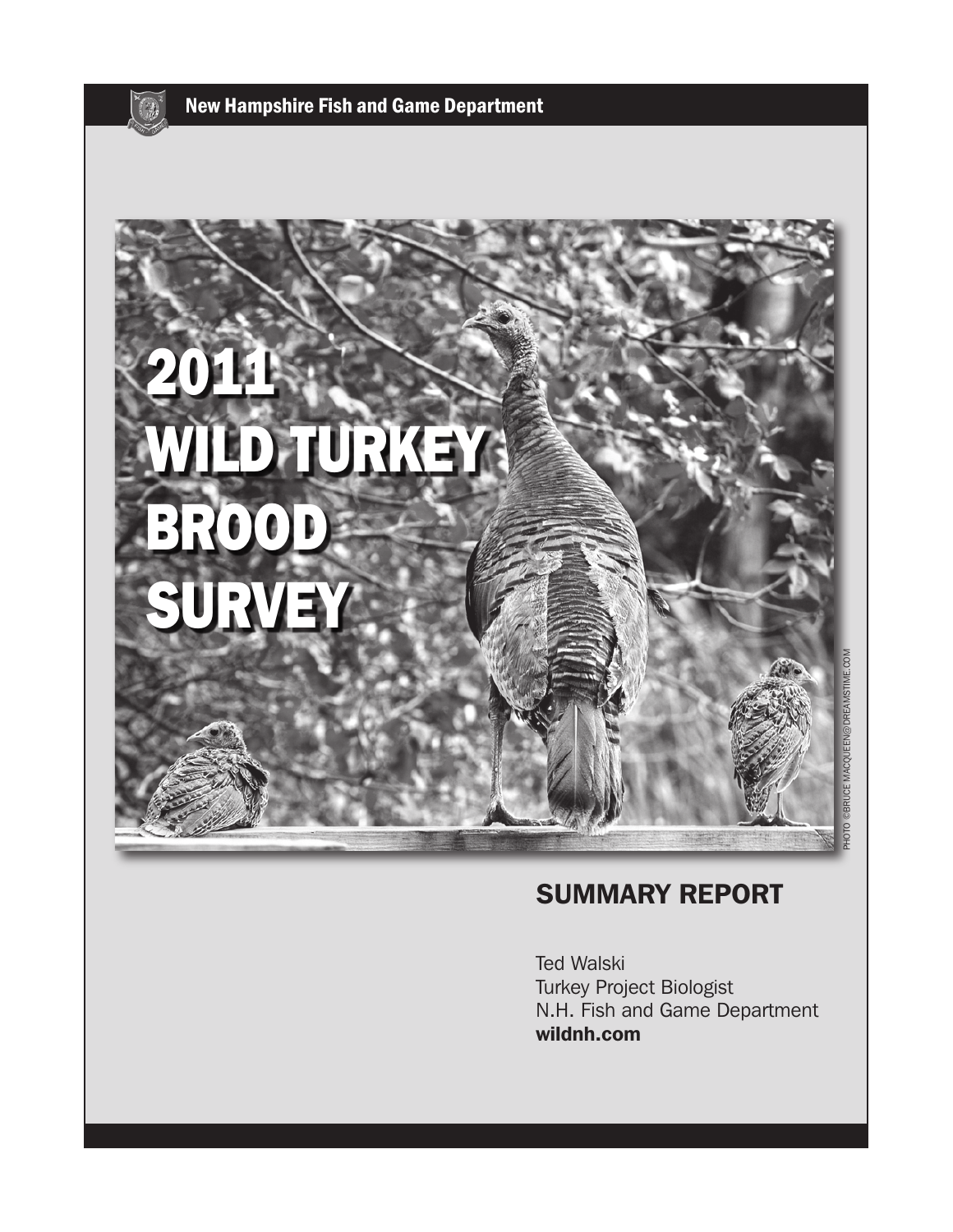



### SUMMARY REPORT

Ted Walski Turkey Project Biologist N.H. Fish and Game Department wildnh.com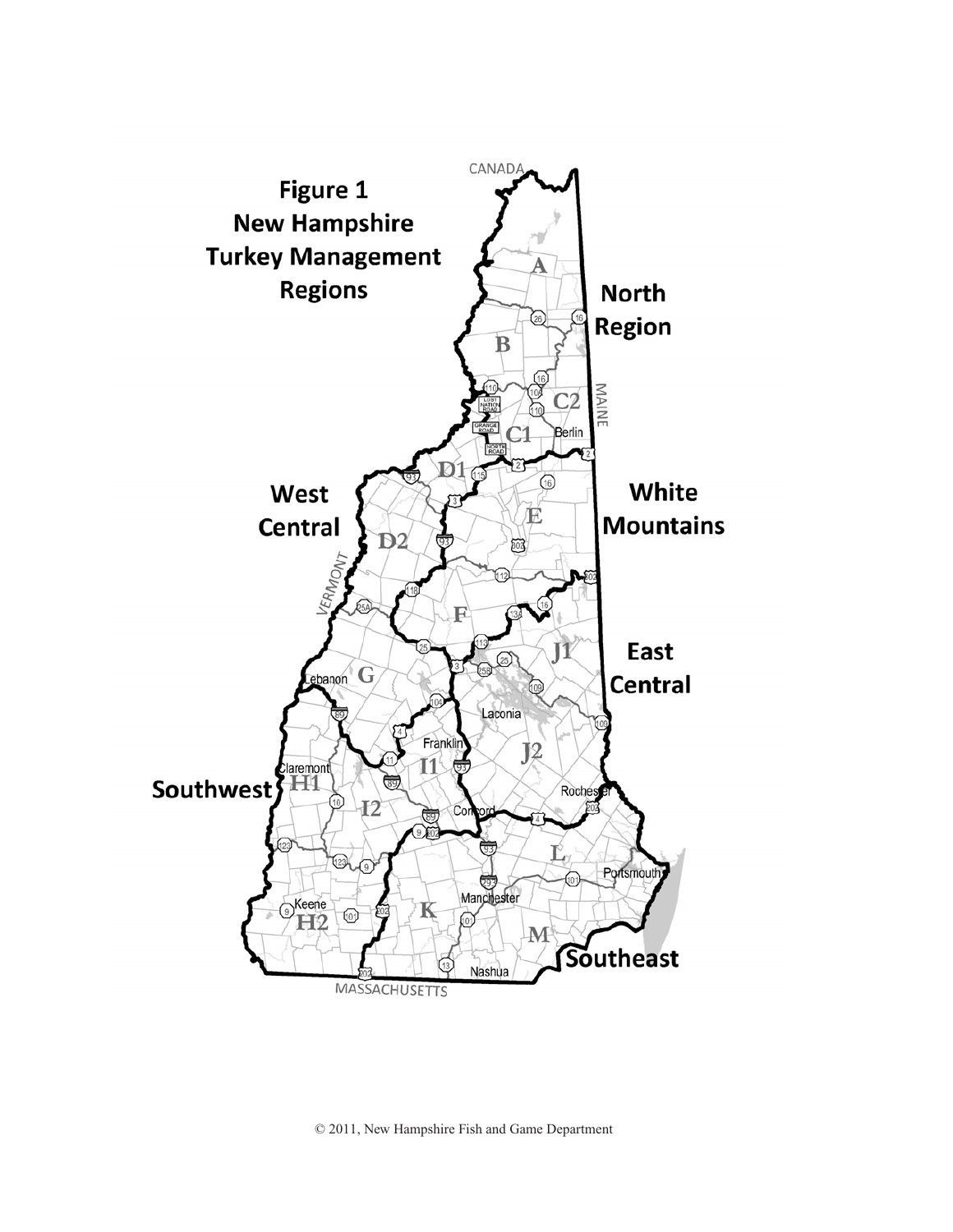

© 2011, New Hampshire Fish and Game Department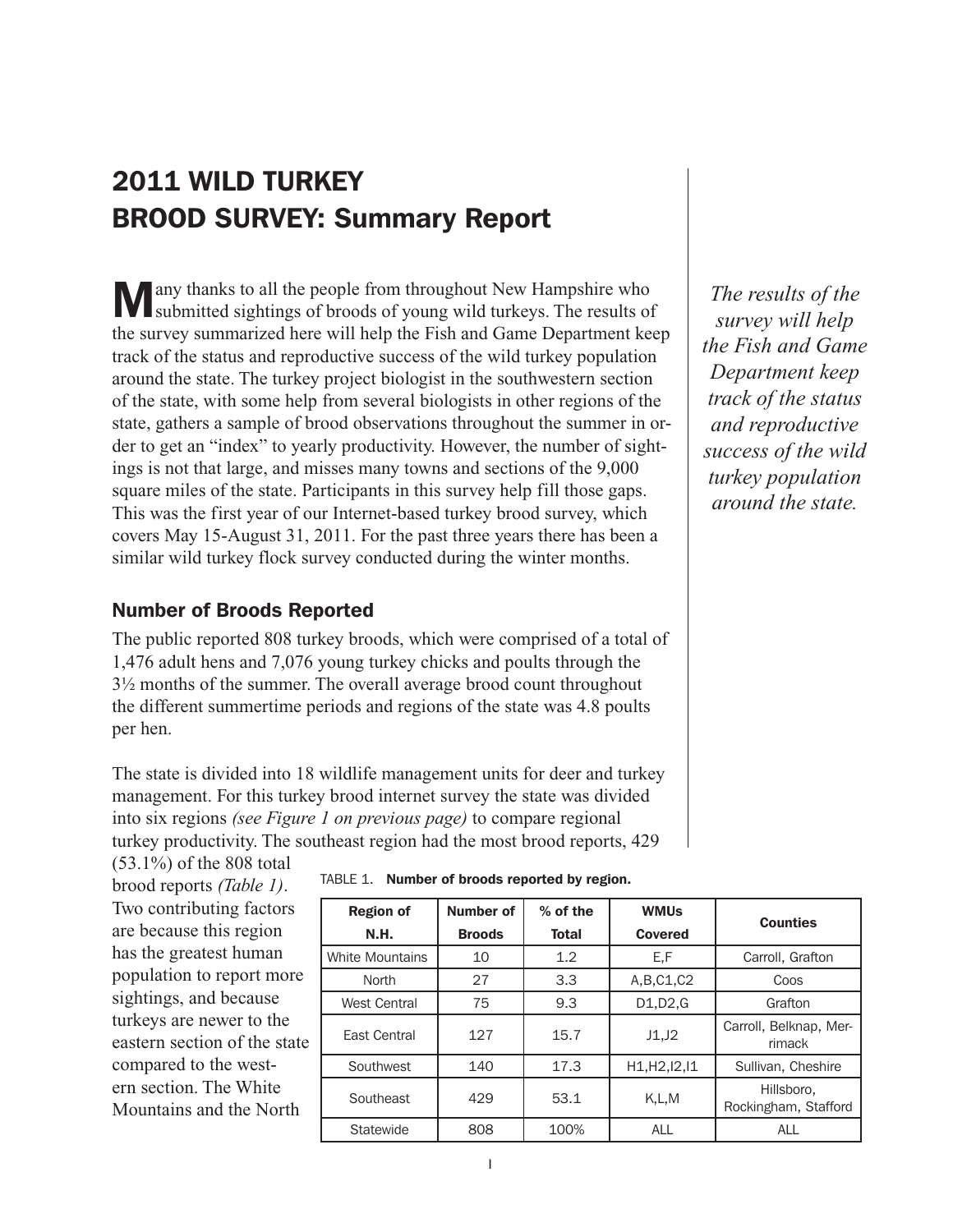## 2011 WILD TURKEY BROOD SURVEY: Summary Report

Many thanks to all the people from throughout New Hampshire who submitted sightings of broods of young wild turkeys. The results of the survey summarized here will help the Fish and Game Department keep track of the status and reproductive success of the wild turkey population around the state. The turkey project biologist in the southwestern section of the state, with some help from several biologists in other regions of the state, gathers a sample of brood observations throughout the summer in order to get an "index" to yearly productivity. However, the number of sightings is not that large, and misses many towns and sections of the 9,000 square miles of the state. Participants in this survey help fill those gaps. This was the first year of our Internet-based turkey brood survey, which covers May 15-August 31, 2011. For the past three years there has been a similar wild turkey flock survey conducted during the winter months.

#### Number of Broods Reported

The public reported 808 turkey broods, which were comprised of a total of 1,476 adult hens and 7,076 young turkey chicks and poults through the 3½ months of the summer. The overall average brood count throughout the different summertime periods and regions of the state was 4.8 poults per hen.

The state is divided into 18 wildlife management units for deer and turkey management. For this turkey brood internet survey the state was divided into six regions *(see Figure 1 on previous page)* to compare regional turkey productivity. The southeast region had the most brood reports, 429

(53.1%) of the 808 total brood reports *(Table 1)*. Two contributing factors are because this region has the greatest human population to report more sightings, and because turkeys are newer to the eastern section of the state compared to the western section. The White Mountains and the North

| TABLE 1. Number of broods reported by region. |  |  |  |  |  |  |
|-----------------------------------------------|--|--|--|--|--|--|
|-----------------------------------------------|--|--|--|--|--|--|

| <b>Region of</b><br><b>N.H.</b> | Number of<br><b>Broods</b> | % of the<br><b>Total</b> | <b>WMUs</b><br><b>Covered</b> | <b>Counties</b>                    |
|---------------------------------|----------------------------|--------------------------|-------------------------------|------------------------------------|
| <b>White Mountains</b>          | 10                         | 1.2                      | E,F                           | Carroll, Grafton                   |
| North                           | 27                         | 3.3                      | A, B, C1, C2                  | Coos                               |
| West Central                    | 75                         | 9.3                      | D1, D2, G                     | Grafton                            |
| East Central                    | 127                        | 15.7                     | J1,J2                         | Carroll, Belknap, Mer-<br>rimack   |
| Southwest                       | 140                        | 17.3                     | H1, H2, 12, 11                | Sullivan, Cheshire                 |
| Southeast                       | 429                        | 53.1                     | K.L.M                         | Hillsboro,<br>Rockingham, Stafford |
| Statewide                       | 808                        | 100%                     | <b>ALL</b>                    | <b>ALL</b>                         |

*The results of the survey will help the Fish and Game Department keep track of the status and reproductive success of the wild turkey population around the state.*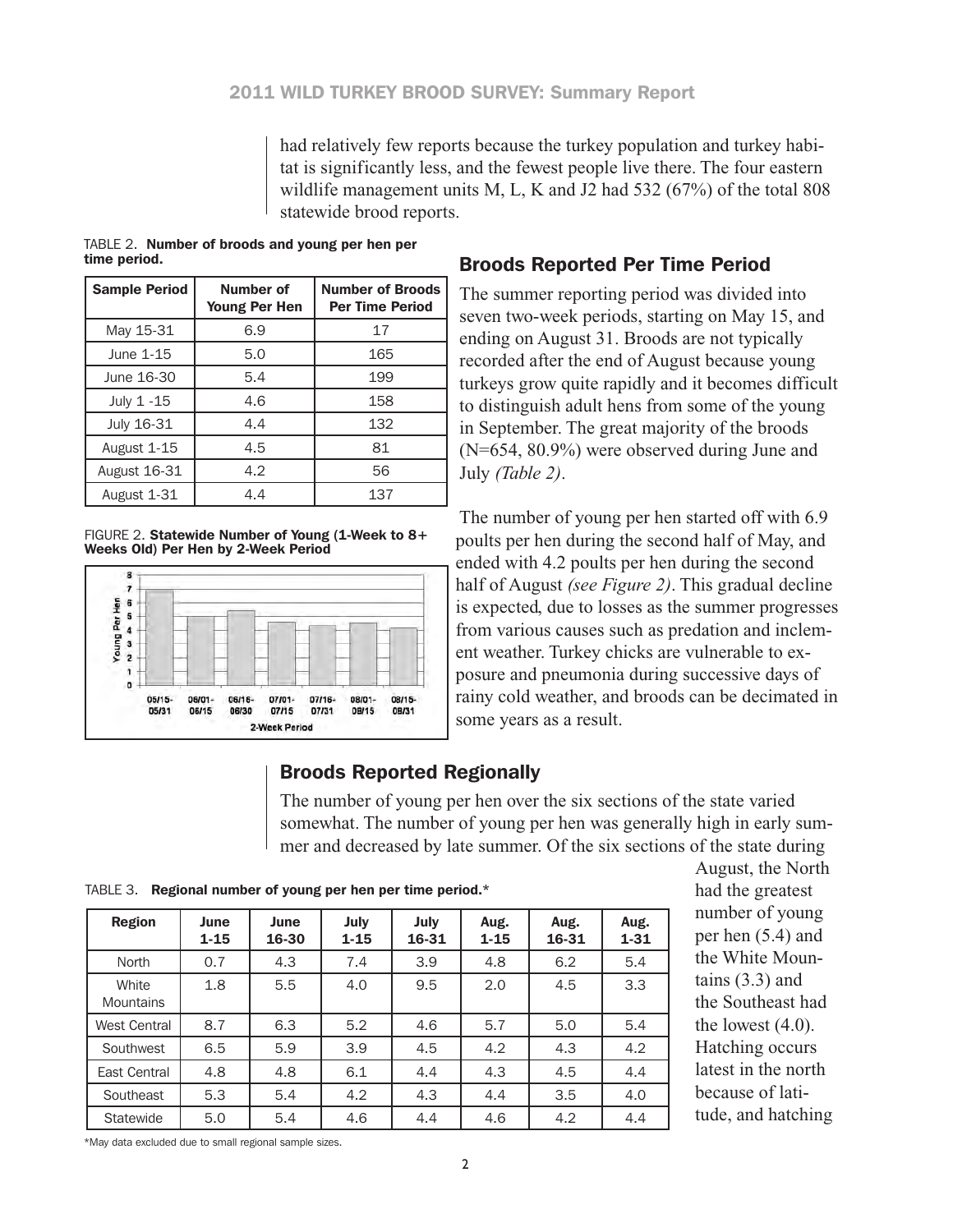had relatively few reports because the turkey population and turkey habitat is significantly less, and the fewest people live there. The four eastern wildlife management units M, L, K and J2 had 532 (67%) of the total 808 statewide brood reports.

|              | TABLE 2. Number of broods and young per hen per |
|--------------|-------------------------------------------------|
| time period. |                                                 |

| <b>Sample Period</b> | <b>Number of</b><br><b>Young Per Hen</b> | <b>Number of Broods</b><br><b>Per Time Period</b> |
|----------------------|------------------------------------------|---------------------------------------------------|
| May 15-31            | 6.9                                      | 17                                                |
| June 1-15            | 5.0                                      | 165                                               |
| June 16-30           | 5.4                                      | 199                                               |
| July 1 -15           | 4.6                                      | 158                                               |
| July 16-31           | 4.4                                      | 132                                               |
| August 1-15          | 4.5                                      | 81                                                |
| <b>August 16-31</b>  | 4.2                                      | 56                                                |
| August 1-31          | 4.4                                      | 137                                               |

FIGURE 2. Statewide Number of Young (1-Week to 8+ Weeks Old) Per Hen by 2-Week Period



#### Broods Reported Per Time Period

The summer reporting period was divided into seven two-week periods, starting on May 15, and ending on August 31. Broods are not typically recorded after the end of August because young turkeys grow quite rapidly and it becomes difficult to distinguish adult hens from some of the young in September. The great majority of the broods (N=654, 80.9%) were observed during June and July *(Table 2)*.

The number of young per hen started off with 6.9 poults per hen during the second half of May, and ended with 4.2 poults per hen during the second half of August *(see Figure 2)*. This gradual decline is expected, due to losses as the summer progresses from various causes such as predation and inclement weather. Turkey chicks are vulnerable to exposure and pneumonia during successive days of rainy cold weather, and broods can be decimated in some years as a result.

#### Broods Reported Regionally

The number of young per hen over the six sections of the state varied somewhat. The number of young per hen was generally high in early summer and decreased by late summer. Of the six sections of the state during

Table 3. Regional number of young per hen per time period.\*

| <b>Region</b>             | June<br>$1 - 15$ | June<br>16-30 | July<br>$1 - 15$ | July<br>16-31 | Aug.<br>$1 - 15$ | Aug.<br>16-31 | Aug.<br>$1 - 31$ |
|---------------------------|------------------|---------------|------------------|---------------|------------------|---------------|------------------|
| North                     | 0.7              | 4.3           | 7.4              | 3.9           | 4.8              | 6.2           | 5.4              |
| White<br><b>Mountains</b> | 1.8              | 5.5           | 4.0              | 9.5           | 2.0              | 4.5           | 3.3              |
| <b>West Central</b>       | 8.7              | 6.3           | 5.2              | 4.6           | 5.7              | 5.0           | 5.4              |
| Southwest                 | 6.5              | 5.9           | 3.9              | 4.5           | 4.2              | 4.3           | 4.2              |
| East Central              | 4.8              | 4.8           | 6.1              | 4.4           | 4.3              | 4.5           | 4.4              |
| Southeast                 | 5.3              | 5.4           | 4.2              | 4.3           | 4.4              | 3.5           | 4.0              |
| Statewide                 | 5.0              | 5.4           | 4.6              | 4.4           | 4.6              | 4.2           | 4.4              |

August, the North had the greatest number of young per hen (5.4) and the White Mountains (3.3) and the Southeast had the lowest  $(4.0)$ . Hatching occurs latest in the north because of latitude, and hatching

\*May data excluded due to small regional sample sizes.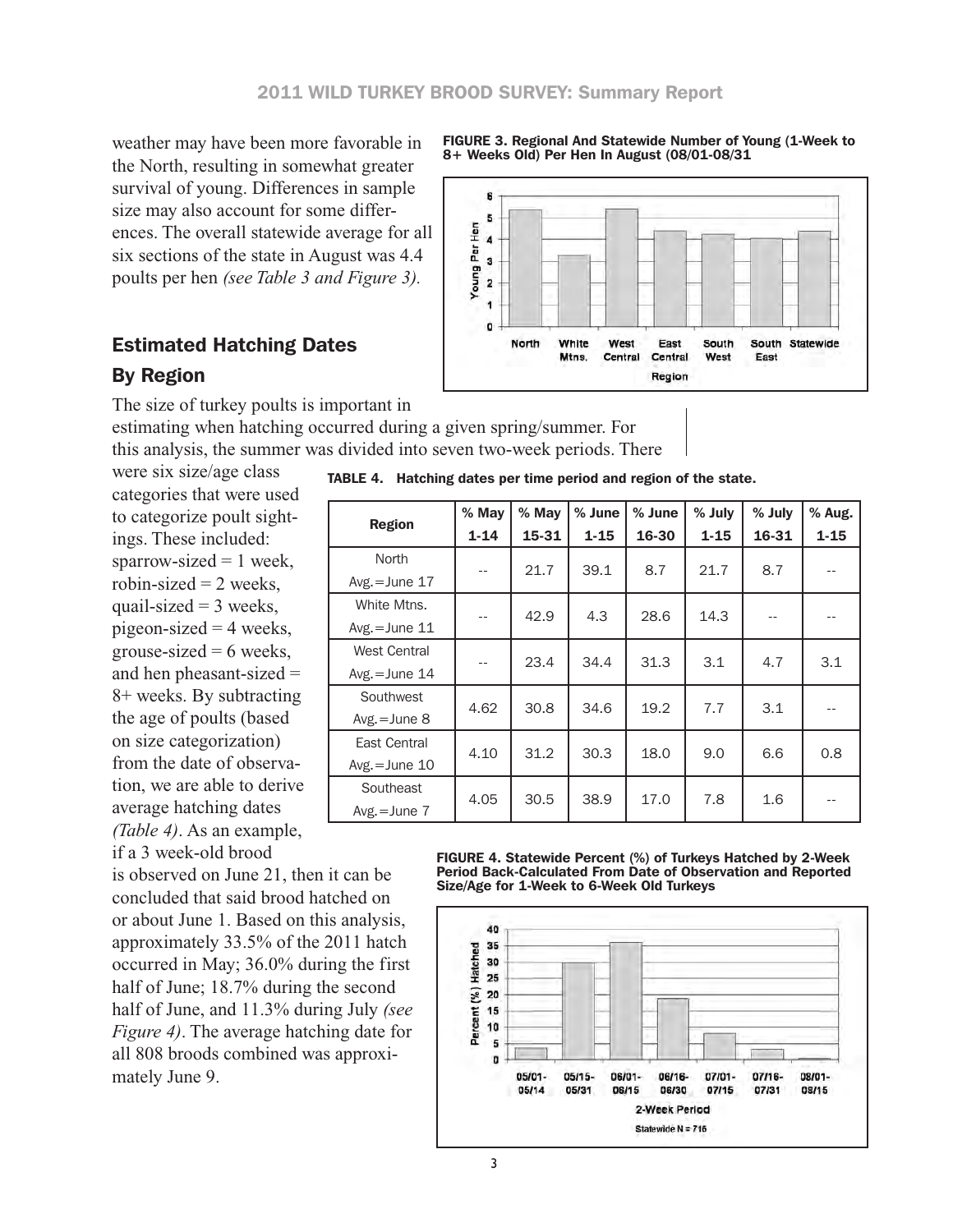weather may have been more favorable in the North, resulting in somewhat greater survival of young. Differences in sample size may also account for some differences. The overall statewide average for all six sections of the state in August was 4.4 poults per hen *(see Table 3 and Figure 3).*

### Estimated Hatching Dates

#### By Region

The size of turkey poults is important in

estimating when hatching occurred during a given spring/summer. For this analysis, the summer was divided into seven two-week periods. There

were six size/age class categories that were used to categorize poult sightings. These included: sparrow-sized  $= 1$  week, robin-sized  $= 2$  weeks, quail-sized  $=$  3 weeks, pigeon-sized  $=$  4 weeks, grouse-sized  $= 6$  weeks, and hen pheasant-sized = 8+ weeks. By subtracting the age of poults (based on size categorization) from the date of observation, we are able to derive average hatching dates *(Table 4)*. As an example, if a 3 week-old brood

is observed on June 21, then it can be concluded that said brood hatched on or about June 1. Based on this analysis, approximately 33.5% of the 2011 hatch occurred in May; 36.0% during the first half of June; 18.7% during the second half of June, and 11.3% during July *(see Figure 4)*. The average hatching date for all 808 broods combined was approximately June 9.



|                     | % May    | % May | % June   | % June | % July   | % July | % Aug.   |
|---------------------|----------|-------|----------|--------|----------|--------|----------|
| <b>Region</b>       | $1 - 14$ | 15-31 | $1 - 15$ | 16-30  | $1 - 15$ | 16-31  | $1 - 15$ |
| North               |          | 21.7  | 39.1     | 8.7    | 21.7     | 8.7    |          |
| $Avg.=June 17$      | $-$      |       |          |        |          |        |          |
| White Mtns.         | $-$      | 42.9  | 4.3      | 28.6   | 14.3     |        |          |
| $Avg.=June 11$      |          |       |          |        |          |        |          |
| <b>West Central</b> |          | 23.4  | 34.4     | 31.3   | 3.1      | 4.7    | 3.1      |
| $Avg.=June 14$      |          |       |          |        |          |        |          |
| Southwest           | 4.62     | 30.8  | 34.6     | 19.2   | 7.7      | 3.1    |          |
| Avg. $=$ June 8     |          |       |          |        |          |        |          |
| East Central        |          | 31.2  | 30.3     | 18.0   | 9.0      | 6.6    | 0.8      |
| $Avg.=June 10$      | 4.10     |       |          |        |          |        |          |
| Southeast           | 4.05     | 30.5  | 38.9     | 17.0   | 7.8      | 1.6    |          |
| $Avg.=June 7$       |          |       |          |        |          |        |          |

FIGURE 4. Statewide Percent (%) of Turkeys Hatched by 2-Week Period Back-Calculated From Date of Observation and Reported Size/Age for 1-Week to 6-Week Old Turkeys